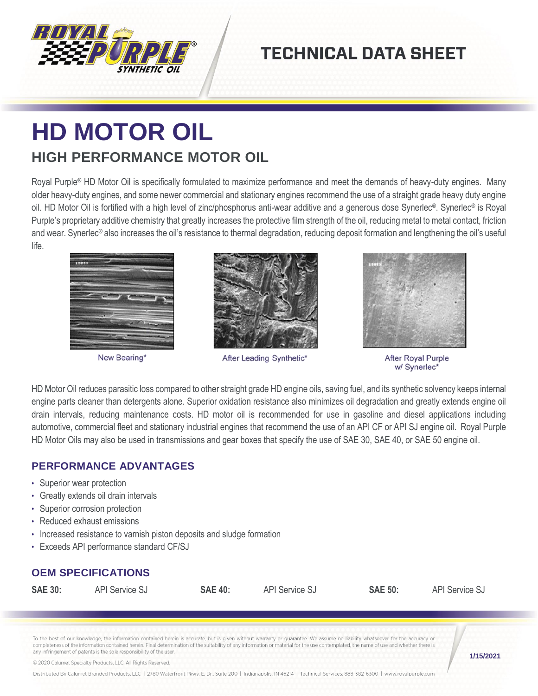

## **TECHNICAL DATA SHEET**

# **HD MOTOR OIL HIGH PERFORMANCE MOTOR OIL**

Royal Purple® HD Motor Oil is specifically formulated to maximize performance and meet the demands of heavy-duty engines. Many older heavy-duty engines, and some newer commercial and stationary engines recommend the use of a straight grade heavy duty engine oil. HD Motor Oil is fortified with a high level of zinc/phosphorus anti-wear additive and a generous dose Synerlec®. Synerlec® is Royal Purple's proprietary additive chemistry that greatly increases the protective film strength of the oil, reducing metal to metal contact, friction and wear. Synerlec® also increases the oil's resistance to thermal degradation, reducing deposit formation and lengthening the oil's useful life.



New Bearing\*



After Leading Synthetic\*



After Royal Purple w/ Synerlec\*

HD Motor Oil reduces parasitic loss compared to other straight grade HD engine oils, saving fuel, and its synthetic solvency keeps internal engine parts cleaner than detergents alone. Superior oxidation resistance also minimizes oil degradation and greatly extends engine oil drain intervals, reducing maintenance costs. HD motor oil is recommended for use in gasoline and diesel applications including automotive, commercial fleet and stationary industrial engines that recommend the use of an API CF or API SJ engine oil. Royal Purple HD Motor Oils may also be used in transmissions and gear boxes that specify the use of SAE 30, SAE 40, or SAE 50 engine oil.

#### **PERFORMANCE ADVANTAGES**

- Superior wear protection
- Greatly extends oil drain intervals
- Superior corrosion protection
- Reduced exhaust emissions
- Increased resistance to varnish piston deposits and sludge formation
- Exceeds API performance standard CF/SJ

### **OEM SPECIFICATIONS**

**SAE 30:** API Service SJ **SAE 40:** API Service SJ **SAE 50:** API Service SJ

To the best of our knowledge, the information contained herein is accurate, but is given without warranty or guarantee. We assume no liability whatsoever for the accuracy or completeness of the information contained herein. Final determination of the suitability of any information or material for the use contemplated, the name of use and whether there is any infringement of patents is the sole responsibility of the user.

© 2020 Calumet Specialty Products, LLC, All Rights Reserved.

Distributed By Calumet Branded Products, LLC | 2780 Waterfront Pkwy. E. Dr., Suite 200 | Indianapolis, IN 46214 | Technical Services: 888-382-6300 | www.royalpurple.com

**1/15/2021**